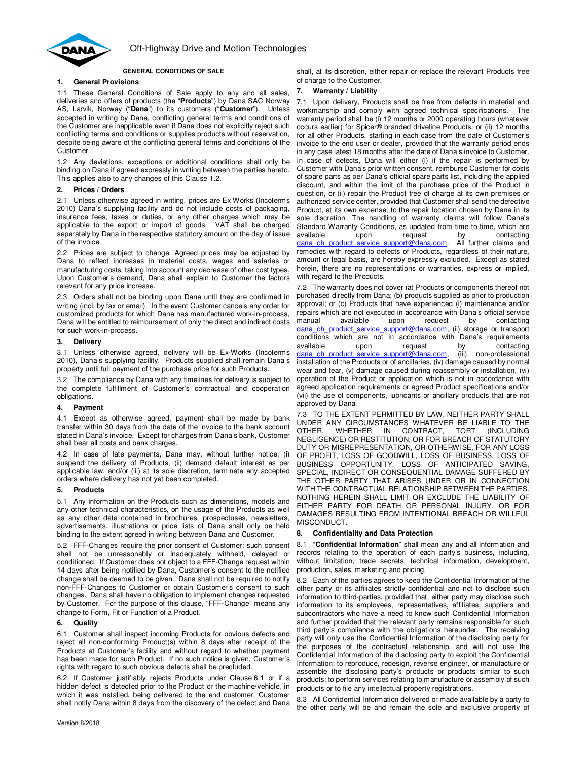

### **GENERAL CONDITIONS OF SALE**

# **1. General Provisions**

1.1 These General Conditions of Sale apply to any and all sales, deliveries and offers of products (the "**Products**") by Dana SAC Norway AS, Larvik, Norway ("**Dana**") to its customers ("**Customer**"). Unless accepted in writing by Dana, conflicting general terms and conditions of the Customer are inapplicable even if Dana does not explicitly reject such conflicting terms and conditions or supplies products without reservation, despite being aware of the conflicting general terms and conditions of the Customer.

1.2 Any deviations, exceptions or additional conditions shall only be binding on Dana if agreed expressly in writing between the parties hereto. This applies also to any changes of this Clause 1.2.

## **2. Prices / Orders**

2.1 Unless otherwise agreed in writing, prices are Ex Works (Incoterms 2010) Dana's supplying facility and do not include costs of packaging, insurance fees, taxes or duties, or any other charges which may be applicable to the export or import of goods. VAT shall be charged separately by Dana in the respective statutory amount on the day of issue of the invoice.

2.2 Prices are subject to change. Agreed prices may be adjusted by Dana to reflect increases in material costs, wages and salaries or manufacturing costs, taking into account any decrease of other cost types. Upon Customer's demand, Dana shall explain to Customer the factors relevant for any price increase.

2.3 Orders shall not be binding upon Dana until they are confirmed in writing (incl. by fax or email). In the event Customer cancels any order for customized products for which Dana has manufactured work-in-process, Dana will be entitled to reimbursement of only the direct and indirect costs for such work-in-process.

### **3. Delivery**

3.1 Unless otherwise agreed, delivery will be Ex-Works (Incoterms 2010), Dana's supplying facility. Products supplied shall remain Dana's property until full payment of the purchase price for such Products.

3.2 The compliance by Dana with any timelines for delivery is subject to the complete fulfillment of Customer's contractual and cooperation obligations.

# **4. Payment**

4.1 Except as otherwise agreed, payment shall be made by bank transfer within 30 days from the date of the invoice to the bank account stated in Dana's invoice. Except for charges from Dana's bank, Customer shall bear all costs and bank charges.

4.2 In case of late payments, Dana may, without further notice, (i) suspend the delivery of Products, (ii) demand default interest as per applicable law, and/or (iii) at its sole discretion, terminate any accepted orders where delivery has not yet been completed.

# **5. Products**

5.1 Any information on the Products such as dimensions, models and any other technical characteristics, on the usage of the Products as well as any other data contained in brochures, prospectuses, newsletters, advertisements, illustrations or price lists of Dana shall only be held binding to the extent agreed in writing between Dana and Customer.

5.2 FFF-Changes require the prior consent of Customer; such consent shall not be unreasonably or inadequately withheld, delayed or conditioned. If Customer does not object to a FFF-Change request within 14 days after being notified by Dana, Customer's consent to the notified change shall be deemed to be given. Dana shall not be required to notify non-FFF-Changes to Customer or obtain Customer's consent to such changes. Dana shall have no obligation to implement changes requested by Customer. For the purpose of this clause, "FFF-Change" means any change to Form, Fit or Function of a Product.

# **6. Quality**

6.1 Customer shall inspect incoming Products for obvious defects and reject all non-conforming Product(s) within 8 days after receipt of the Products at Customer's facility and without regard to whether payment has been made for such Product. If no such notice is given, Customer's rights with regard to such obvious defects shall be precluded.

6.2 If Customer justifiably rejects Products under Clause 6.1 or if a hidden defect is detected prior to the Product or the machine/vehicle, in which it was installed, being delivered to the end customer, Customer shall notify Dana within 8 days from the discovery of the defect and Dana

shall, at its discretion, either repair or replace the relevant Products free of charge to the Customer.

## **7. Warranty / Liability**

7.1 Upon delivery, Products shall be free from defects in material and workmanship and comply with agreed technical specifications. The warranty period shall be (i) 12 months or 2000 operating hours (whatever occurs earlier) for Spicer® branded driveline Products, or (ii) 12 months for all other Products, starting in each case from the date of Customer's invoice to the end user or dealer, provided that the warranty period ends in any case latest 18 months after the date of Dana's invoice to Customer. In case of defects, Dana will either (i) if the repair is performed by Customer with Dana's prior written consent, reimburse Customer for costs of spare parts as per Dana's official spare parts list, including the applied discount, and within the limit of the purchase price of the Product in question, or (ii) repair the Product free of charge at its own premises or authorized service center, provided that Customer shall send the defective Product, at its own expense, to the repair location chosen by Dana in its sole discretion. The handling of warranty claims will follow Dana's Standard Warranty Conditions, as updated from time to time, which are available upon request by contacting dana\_oh\_product\_service\_support@dana.com. All further claims and remedies with regard to defects of Products, regardless of their nature, amount or legal basis, are hereby expressly excluded. Except as stated herein, there are no representations or warranties, express or implied, with regard to the Products.

7.2 The warranty does not cover (a) Products or components thereof not purchased directly from Dana; (b) products supplied as prior to production approval; or (c) Products that have experienced (i) maintenance and/or repairs which are not executed in accordance with Dana's official service manual available upon request by contacting dana\_oh\_product\_service\_support@dana.com, (ii) storage or transport conditions which are not in accordance with Dana's requirements available upon request by contacting dana\_oh\_product\_service\_support@dana.com, (iii) non-professional installation of the Products or of ancillaries, (iv) damage caused by normal wear and tear, (v) damage caused during reassembly or installation, (vi) operation of the Product or application which is not in accordance with agreed application requirements or agreed Product specifications and/or (vii) the use of components, lubricants or ancillary products that are not approved by Dana.

7.3 TO THE EXTENT PERMITTED BY LAW, NEITHER PARTY SHALL UNDER ANY CIRCUMSTANCES WHATEVER BE LIABLE TO THE OTHER IN CONTRACT. TORT (INCLUDING IN CONTRACT, NEGLIGENCE) OR RESTITUTION, OR FOR BREACH OF STATUTORY DUTY OR MISREPRESENTATION, OR OTHERWISE, FOR ANY LOSS OF PROFIT, LOSS OF GOODWILL, LOSS OF BUSINESS, LOSS OF BUSINESS OPPORTUNITY, LOSS OF ANTICIPATED SAVING, SPECIAL, INDIRECT OR CONSEQUENTIAL DAMAGE SUFFERED BY THE OTHER PARTY THAT ARISES UNDER OR IN CONNECTION WITH THE CONTRACTUAL RELATIONSHIP BETWEEN THE PARTIES. NOTHING HEREIN SHALL LIMIT OR EXCLUDE THE LIABILITY OF EITHER PARTY FOR DEATH OR PERSONAL INJURY, OR FOR DAMAGES RESULTING FROM INTENTIONAL BREACH OR WILLFUL MISCONDUCT.

#### **8. Confidentiality and Data Protection**

8.1 "**Confidential Information**" shall mean any and all information and records relating to the operation of each party's business, including, without limitation, trade secrets, technical information, development, production, sales, marketing and pricing.

8.2 Each of the parties agrees to keep the Confidential Information of the other party or its affiliates strictly confidential and not to disclose such information to third-parties, provided that, either party may disclose such information to its employees, representatives, affiliates, suppliers and subcontractors who have a need to know such Confidential Information and further provided that the relevant party remains responsible for such third party's compliance with the obligations hereunder. The receiving party will only use the Confidential Information of the disclosing party for the purposes of the contractual relationship, and will not use the Confidential Information of the disclosing party to exploit the Confidential Information; to reproduce, redesign, reverse engineer, or manufacture or assemble the disclosing party's products or products similar to such products; to perform services relating to manufacture or assembly of such products or to file any intellectual property registrations.

8.3 All Confidential Information delivered or made available by a party to the other party will be and remain the sole and exclusive property of